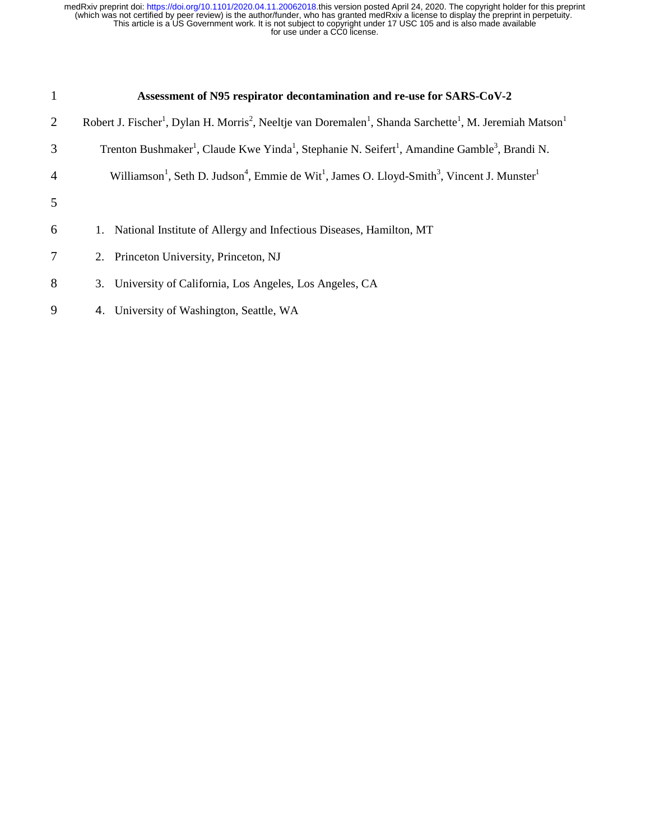| $\mathbf{1}$   | Assessment of N95 respirator decontamination and re-use for SARS-CoV-2                                                                                               |
|----------------|----------------------------------------------------------------------------------------------------------------------------------------------------------------------|
| 2              | Robert J. Fischer <sup>1</sup> , Dylan H. Morris <sup>2</sup> , Neeltje van Doremalen <sup>1</sup> , Shanda Sarchette <sup>1</sup> , M. Jeremiah Matson <sup>1</sup> |
| 3              | Trenton Bushmaker <sup>1</sup> , Claude Kwe Yinda <sup>1</sup> , Stephanie N. Seifert <sup>1</sup> , Amandine Gamble <sup>3</sup> , Brandi N.                        |
| $\overline{4}$ | Williamson <sup>1</sup> , Seth D. Judson <sup>4</sup> , Emmie de Wit <sup>1</sup> , James O. Lloyd-Smith <sup>3</sup> , Vincent J. Munster <sup>1</sup>              |
| 5              |                                                                                                                                                                      |
| 6              | 1. National Institute of Allergy and Infectious Diseases, Hamilton, MT                                                                                               |
| $\tau$         | 2. Princeton University, Princeton, NJ                                                                                                                               |
| 8              | 3. University of California, Los Angeles, Los Angeles, CA                                                                                                            |
| 9              | 4. University of Washington, Seattle, WA                                                                                                                             |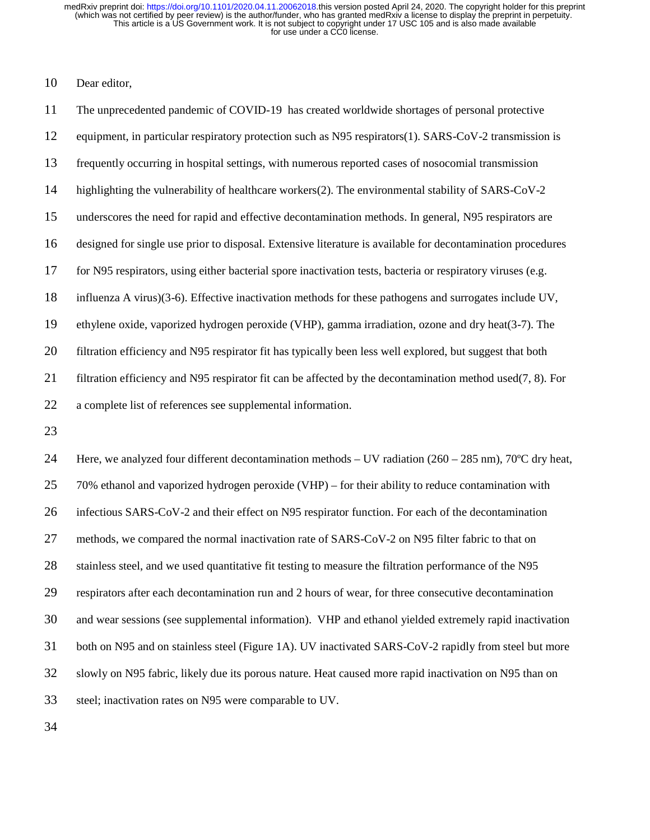10 Dear editor,

11 The unprecedented pandemic of COVID-19 has created worldwide shortages of personal protective 12 equipment, in particular respiratory protection such as N95 respirators(1). SARS-CoV-2 transmission is 13 frequently occurring in hospital settings, with numerous reported cases of nosocomial transmission 14 highlighting the vulnerability of healthcare workers(2). The environmental stability of SARS-CoV-2 15 underscores the need for rapid and effective decontamination methods. In general, N95 respirators are 16 designed for single use prior to disposal. Extensive literature is available for decontamination procedures 17 for N95 respirators, using either bacterial spore inactivation tests, bacteria or respiratory viruses (e.g. 18 influenza A virus)(3-6). Effective inactivation methods for these pathogens and surrogates include UV, 19 ethylene oxide, vaporized hydrogen peroxide (VHP), gamma irradiation, ozone and dry heat(3-7). The 20 filtration efficiency and N95 respirator fit has typically been less well explored, but suggest that both 21 filtration efficiency and N95 respirator fit can be affected by the decontamination method used(7, 8). For 22 a complete list of references see supplemental information. 23

24 Here, we analyzed four different decontamination methods – UV radiation ( $260 - 285$  nm),  $70^{\circ}$ C dry heat, 25 70% ethanol and vaporized hydrogen peroxide (VHP) – for their ability to reduce contamination with 26 infectious SARS-CoV-2 and their effect on N95 respirator function. For each of the decontamination 27 methods, we compared the normal inactivation rate of SARS-CoV-2 on N95 filter fabric to that on 28 stainless steel, and we used quantitative fit testing to measure the filtration performance of the N95 29 respirators after each decontamination run and 2 hours of wear, for three consecutive decontamination 30 and wear sessions (see supplemental information). VHP and ethanol yielded extremely rapid inactivation 31 both on N95 and on stainless steel (Figure 1A). UV inactivated SARS-CoV-2 rapidly from steel but more 32 slowly on N95 fabric, likely due its porous nature. Heat caused more rapid inactivation on N95 than on 33 steel; inactivation rates on N95 were comparable to UV.

34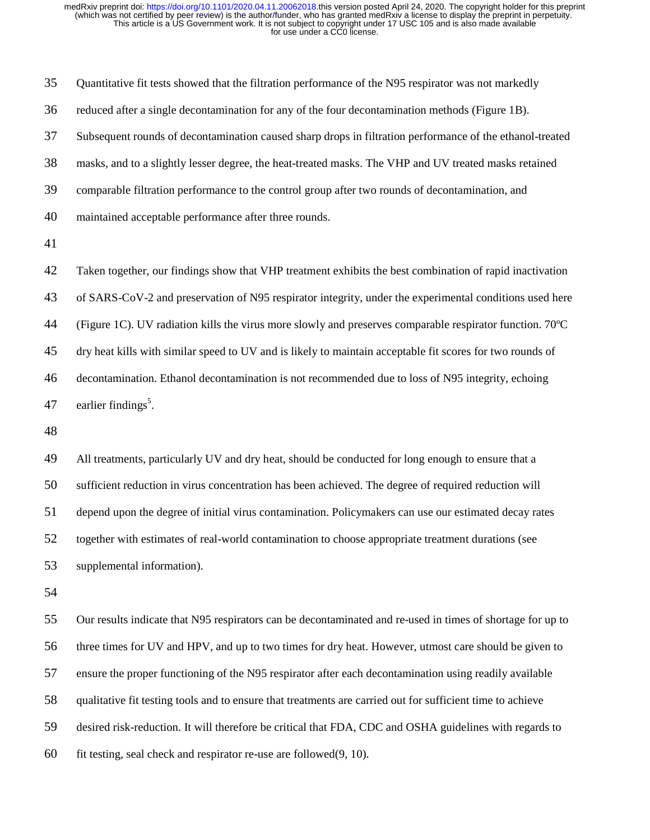35 Quantitative fit tests showed that the filtration performance of the N95 respirator was not markedly 36 reduced after a single decontamination for any of the four decontamination methods (Figure 1B). 37 Subsequent rounds of decontamination caused sharp drops in filtration performance of the ethanol-treated 38 masks, and to a slightly lesser degree, the heat-treated masks. The VHP and UV treated masks retained 39 comparable filtration performance to the control group after two rounds of decontamination, and 40 maintained acceptable performance after three rounds. 41 42 Taken together, our findings show that VHP treatment exhibits the best combination of rapid inactivation 43 of SARS-CoV-2 and preservation of N95 respirator integrity, under the experimental conditions used here 44 (Figure 1C). UV radiation kills the virus more slowly and preserves comparable respirator function. 70ºC 45 dry heat kills with similar speed to UV and is likely to maintain acceptable fit scores for two rounds of 46 decontamination. Ethanol decontamination is not recommended due to loss of N95 integrity, echoing 47 earlier findings<sup>5</sup>. 48 49 All treatments, particularly UV and dry heat, should be conducted for long enough to ensure that a 50 sufficient reduction in virus concentration has been achieved. The degree of required reduction will 51 depend upon the degree of initial virus contamination. Policymakers can use our estimated decay rates

52 together with estimates of real-world contamination to choose appropriate treatment durations (see 53 supplemental information).

54

55 Our results indicate that N95 respirators can be decontaminated and re-used in times of shortage for up to 56 three times for UV and HPV, and up to two times for dry heat. However, utmost care should be given to 57 ensure the proper functioning of the N95 respirator after each decontamination using readily available 58 qualitative fit testing tools and to ensure that treatments are carried out for sufficient time to achieve 59 desired risk-reduction. It will therefore be critical that FDA, CDC and OSHA guidelines with regards to 60 fit testing, seal check and respirator re-use are followed(9, 10).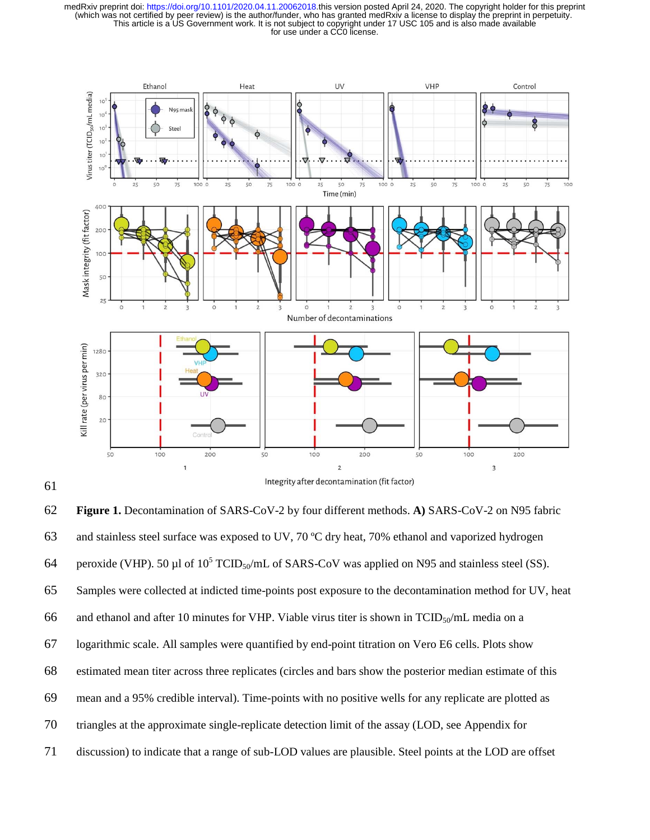



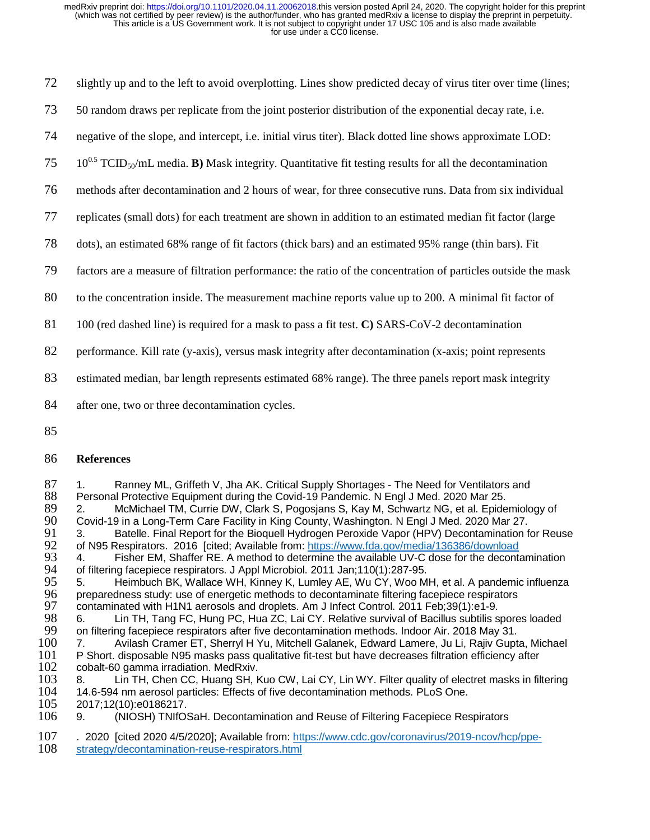72 slightly up and to the left to avoid overplotting. Lines show predicted decay of virus titer over time (lines;

73 50 random draws per replicate from the joint posterior distribution of the exponential decay rate, i.e.

74 negative of the slope, and intercept, i.e. initial virus titer). Black dotted line shows approximate LOD:

- $10^{0.5}$  TCID<sub>50</sub>/mL media. **B**) Mask integrity. Quantitative fit testing results for all the decontamination
- 76 methods after decontamination and 2 hours of wear, for three consecutive runs. Data from six individual
- 77 replicates (small dots) for each treatment are shown in addition to an estimated median fit factor (large
- 78 dots), an estimated 68% range of fit factors (thick bars) and an estimated 95% range (thin bars). Fit
- 79 factors are a measure of filtration performance: the ratio of the concentration of particles outside the mask
- 80 to the concentration inside. The measurement machine reports value up to 200. A minimal fit factor of
- 81 100 (red dashed line) is required for a mask to pass a fit test. **C)** SARS-CoV-2 decontamination

82 performance. Kill rate (y-axis), versus mask integrity after decontamination (x-axis; point represents

- 83 estimated median, bar length represents estimated 68% range). The three panels report mask integrity
- 84 after one, two or three decontamination cycles.
- 85

### 86 **References**

87 1. Ranney ML, Griffeth V, Jha AK. Critical Supply Shortages - The Need for Ventilators and 88 Personal Protective Equipment during the Covid-19 Pandemic. N Engl J Med. 2020 Mar 25. 88 Personal Protective Equipment during the Covid-19 Pandemic. N Engl J Med. 2020 Mar 25. 89 2. McMichael TM, Currie DW, Clark S, Pogosjans S, Kay M, Schwartz NG, et al. Epidemiology of 80.<br>80 Covid-19 in a Long-Term Care Facility in King County. Washington, N Engl J Med. 2020 Mar 27.

- 90 Covid-19 in a Long-Term Care Facility in King County, Washington. N Engl J Med. 2020 Mar 27. 91 3. Batelle. Final Report for the Bioquell Hydrogen Peroxide Vapor (HPV) Decontamination for Reuse<br>92 of N95 Respirators. 2016 [cited: Available from: https://www.fda.gov/media/136386/download
- 92 of N95 Respirators. 2016 [cited; Available from: https://www.fda.gov/media/136386/download<br>93 4. Fisher EM, Shaffer RE. A method to determine the available UV-C dose for the deconta 93 4. Fisher EM, Shaffer RE. A method to determine the available UV-C dose for the decontamination<br>94 of filtering facepiece respirators. J Appl Microbiol. 2011 Jan;110(1):287-95. 94 of filtering facepiece respirators. J Appl Microbiol. 2011 Jan;110(1):287-95.
- 95 5. Heimbuch BK, Wallace WH, Kinney K, Lumley AE, Wu CY, Woo MH, et al. A pandemic influenza<br>96 preparedness study: use of energetic methods to decontaminate filtering facepiece respirators 96 preparedness study: use of energetic methods to decontaminate filtering facepiece respirators<br>97 contaminated with H1N1 aerosols and droplets. Am J Infect Control. 2011 Feb;39(1):e1-9.
- 97 contaminated with H1N1 aerosols and droplets. Am J Infect Control. 2011 Feb;39(1):e1-9.<br>98 6. Lin TH, Tang FC, Hung PC, Hua ZC, Lai CY. Relative survival of Bacillus subtilis s 98 6. Lin TH, Tang FC, Hung PC, Hua ZC, Lai CY. Relative survival of Bacillus subtilis spores loaded<br>99 on filtering facepiece respirators after five decontamination methods. Indoor Air. 2018 May 31.
- 99 on filtering facepiece respirators after five decontamination methods. Indoor Air. 2018 May 31. 100 7. Avilash Cramer ET, Sherryl H Yu, Mitchell Galanek, Edward Lamere, Ju Li, Rajiv Gupta, Michael<br>101 P Short, disposable N95 masks pass qualitative fit-test but have decreases filtration efficiency after 101 P Short. disposable N95 masks pass qualitative fit-test but have decreases filtration efficiency after 102 cobalt-60 gamma irradiation. MedRxiv.
- 102 cobalt-60 gamma irradiation. MedRxiv.<br>103 8. Lin TH, Chen CC, Huang SH, M 103 8. Lin TH, Chen CC, Huang SH, Kuo CW, Lai CY, Lin WY. Filter quality of electret masks in filtering 104 14.6-594 nm aerosol particles: Effects of five decontamination methods. PLoS One. 104 14.6-594 nm aerosol particles: Effects of five decontamination methods. PLoS One.<br>105 2017;12(10):e0186217.

- 105 2017;12(10):e0186217.<br>106 9. (NIOSH) TNIfO: 106 9. (NIOSH) TNIfOSaH. Decontamination and Reuse of Filtering Facepiece Respirators
- 107 . 2020 [cited 2020 4/5/2020]; Available from: https://www.cdc.gov/coronavirus/2019-ncov/hcp/ppe-<br>108 strategy/decontamination-reuse-respirators.html strategy/decontamination-reuse-respirators.html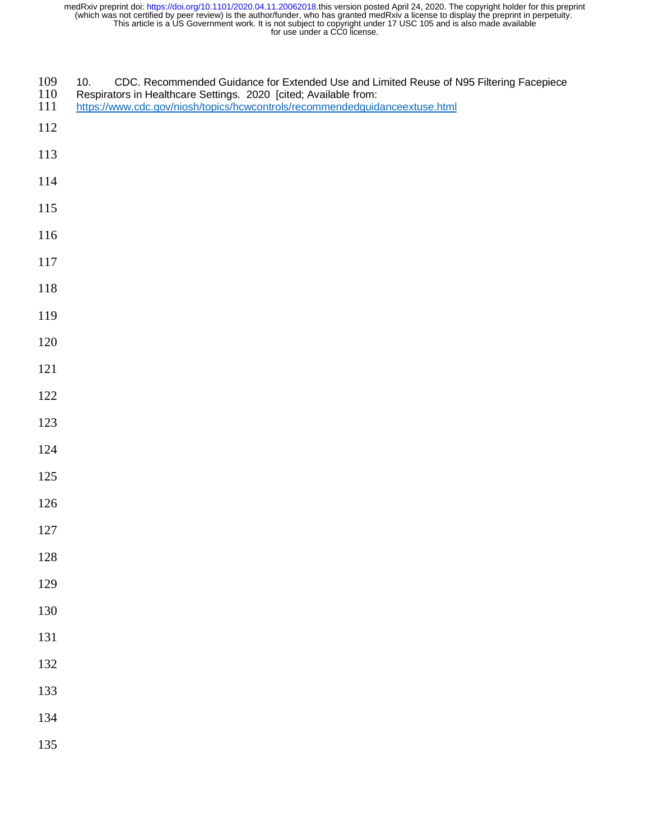- 109 10. CDC. Recommended Guidance for Extended Use and Limited Reuse of N95 Filtering Facepiece<br>110 Respirators in Healthcare Settings. 2020 [cited: Available from:
- 110 Respirators in Healthcare Settings. 2020 [cited; Available from:<br>111 https://www.cdc.gov/niosh/topics/hcwcontrols/recommendedguid
- https://www.cdc.gov/niosh/topics/hcwcontrols/recommendedguidanceextuse.html
- 
- 
- 
- 
- 
- 
- 
- 
- 
- 
- 
- 
- 
- 
- 
- 
- 
- 
- 
- 
- 
- 
- 
- 
- 
- 
- 
- 
- 
-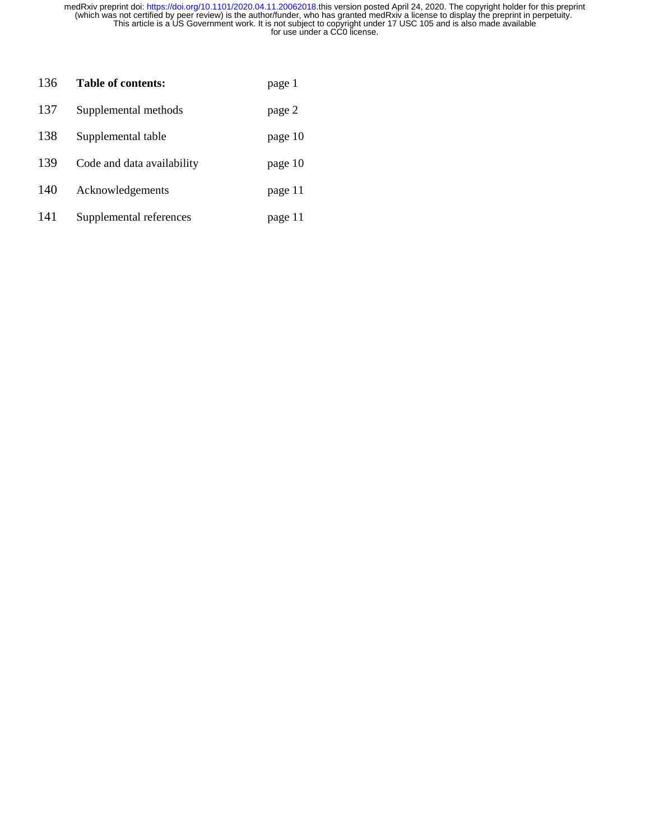| 136 | Table of contents:         | page 1  |
|-----|----------------------------|---------|
| 137 | Supplemental methods       | page 2  |
| 138 | Supplemental table         | page 10 |
| 139 | Code and data availability | page 10 |
| 140 | Acknowledgements           | page 11 |
| 141 | Supplemental references    | page 11 |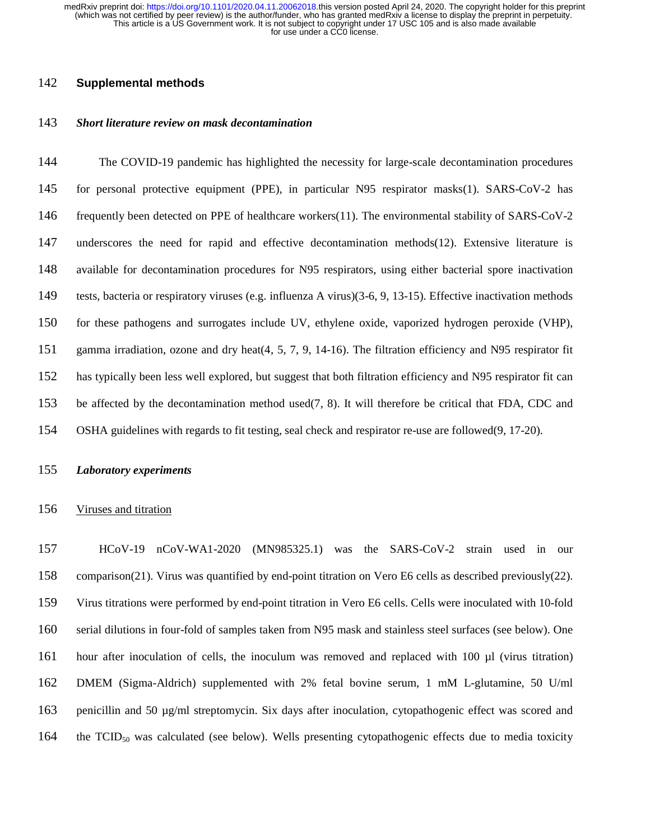# 142 **Supplemental methods**

# 143 *Short literature review on mask decontamination*

144 The COVID-19 pandemic has highlighted the necessity for large-scale decontamination procedures 145 for personal protective equipment (PPE), in particular N95 respirator masks(1). SARS-CoV-2 has 146 frequently been detected on PPE of healthcare workers(11). The environmental stability of SARS-CoV-2 147 underscores the need for rapid and effective decontamination methods(12). Extensive literature is 148 available for decontamination procedures for N95 respirators, using either bacterial spore inactivation 149 tests, bacteria or respiratory viruses (e.g. influenza A virus)(3-6, 9, 13-15). Effective inactivation methods 150 for these pathogens and surrogates include UV, ethylene oxide, vaporized hydrogen peroxide (VHP), 151 gamma irradiation, ozone and dry heat(4, 5, 7, 9, 14-16). The filtration efficiency and N95 respirator fit 152 has typically been less well explored, but suggest that both filtration efficiency and N95 respirator fit can 153 be affected by the decontamination method used(7, 8). It will therefore be critical that FDA, CDC and 154 OSHA guidelines with regards to fit testing, seal check and respirator re-use are followed(9, 17-20).

## 155 *Laboratory experiments*

## 156 Viruses and titration

157 HCoV-19 nCoV-WA1-2020 (MN985325.1) was the SARS-CoV-2 strain used in our 158 comparison(21). Virus was quantified by end-point titration on Vero E6 cells as described previously(22). 159 Virus titrations were performed by end-point titration in Vero E6 cells. Cells were inoculated with 10-fold 160 serial dilutions in four-fold of samples taken from N95 mask and stainless steel surfaces (see below). One 161 hour after inoculation of cells, the inoculum was removed and replaced with 100 µl (virus titration) 162 DMEM (Sigma-Aldrich) supplemented with 2% fetal bovine serum, 1 mM L-glutamine, 50 U/ml 163 penicillin and 50 µg/ml streptomycin. Six days after inoculation, cytopathogenic effect was scored and 164 the  $TCID_{50}$  was calculated (see below). Wells presenting cytopathogenic effects due to media toxicity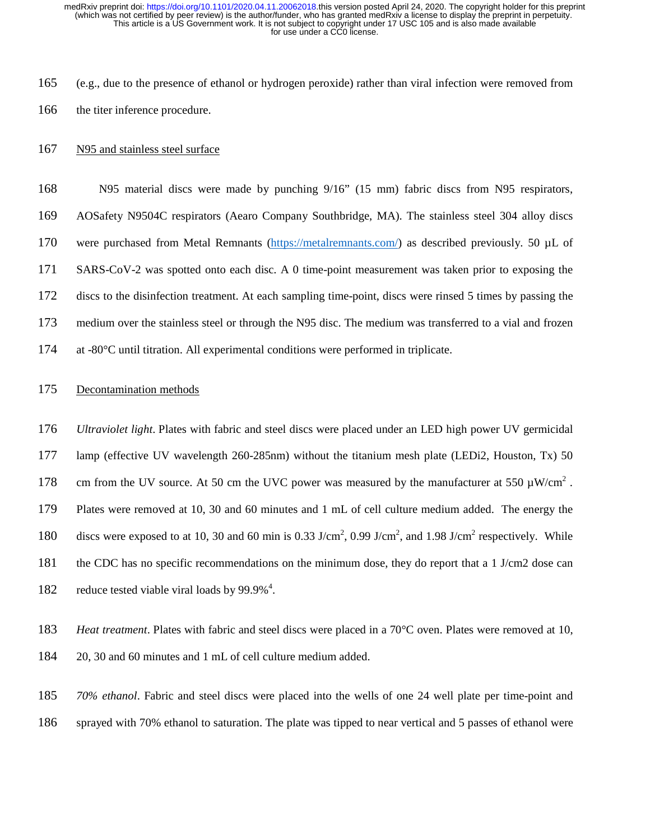165 (e.g., due to the presence of ethanol or hydrogen peroxide) rather than viral infection were removed from 166 the titer inference procedure.

## 167 N95 and stainless steel surface

168 N95 material discs were made by punching 9/16" (15 mm) fabric discs from N95 respirators, 169 AOSafety N9504C respirators (Aearo Company Southbridge, MA). The stainless steel 304 alloy discs 170 were purchased from Metal Remnants (https://metalremnants.com/) as described previously. 50 µL of 171 SARS-CoV-2 was spotted onto each disc. A 0 time-point measurement was taken prior to exposing the 172 discs to the disinfection treatment. At each sampling time-point, discs were rinsed 5 times by passing the 173 medium over the stainless steel or through the N95 disc. The medium was transferred to a vial and frozen 174 at -80°C until titration. All experimental conditions were performed in triplicate.

## 175 Decontamination methods

176 *Ultraviolet light*. Plates with fabric and steel discs were placed under an LED high power UV germicidal 177 lamp (effective UV wavelength 260-285nm) without the titanium mesh plate (LEDi2, Houston, Tx) 50 178 cm from the UV source. At 50 cm the UVC power was measured by the manufacturer at 550  $\mu$ W/cm<sup>2</sup>. 179 Plates were removed at 10, 30 and 60 minutes and 1 mL of cell culture medium added. The energy the 180 discs were exposed to at 10, 30 and 60 min is 0.33 J/cm<sup>2</sup>, 0.99 J/cm<sup>2</sup>, and 1.98 J/cm<sup>2</sup> respectively. While 181 the CDC has no specific recommendations on the minimum dose, they do report that a 1 J/cm2 dose can 182 reduce tested viable viral loads by  $99.9\%$ <sup>4</sup>.

183 *Heat treatment*. Plates with fabric and steel discs were placed in a 70°C oven. Plates were removed at 10, 184 20, 30 and 60 minutes and 1 mL of cell culture medium added.

185 *70% ethanol*. Fabric and steel discs were placed into the wells of one 24 well plate per time-point and 186 sprayed with 70% ethanol to saturation. The plate was tipped to near vertical and 5 passes of ethanol were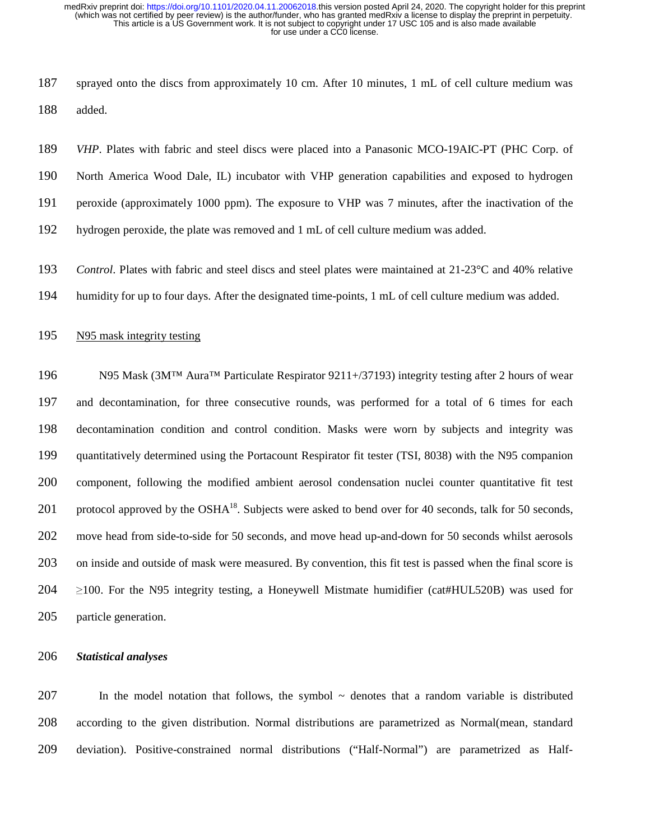187 sprayed onto the discs from approximately 10 cm. After 10 minutes, 1 mL of cell culture medium was 188 added.

189 *VHP*. Plates with fabric and steel discs were placed into a Panasonic MCO-19AIC-PT (PHC Corp. of 190 North America Wood Dale, IL) incubator with VHP generation capabilities and exposed to hydrogen 191 peroxide (approximately 1000 ppm). The exposure to VHP was 7 minutes, after the inactivation of the 192 hydrogen peroxide, the plate was removed and 1 mL of cell culture medium was added.

193 *Control*. Plates with fabric and steel discs and steel plates were maintained at 21-23°C and 40% relative 194 humidity for up to four days. After the designated time-points, 1 mL of cell culture medium was added.

# 195 N95 mask integrity testing

196 N95 Mask (3M™ Aura™ Particulate Respirator 9211+/37193) integrity testing after 2 hours of wear 197 and decontamination, for three consecutive rounds, was performed for a total of 6 times for each 198 decontamination condition and control condition. Masks were worn by subjects and integrity was 199 quantitatively determined using the Portacount Respirator fit tester (TSI, 8038) with the N95 companion 200 component, following the modified ambient aerosol condensation nuclei counter quantitative fit test 201 . protocol approved by the  $\rm{OSHA}^{18}$ . Subjects were asked to bend over for 40 seconds, talk for 50 seconds, 202 move head from side-to-side for 50 seconds, and move head up-and-down for 50 seconds whilst aerosols 203 on inside and outside of mask were measured. By convention, this fit test is passed when the final score is <sup>204</sup>≥100. For the N95 integrity testing, a Honeywell Mistmate humidifier (cat#HUL520B) was used for 205 particle generation.

## 206 *Statistical analyses*

207 In the model notation that follows, the symbol ~ denotes that a random variable is distributed 208 according to the given distribution. Normal distributions are parametrized as Normal(mean, standard 209 deviation). Positive-constrained normal distributions ("Half-Normal") are parametrized as Half-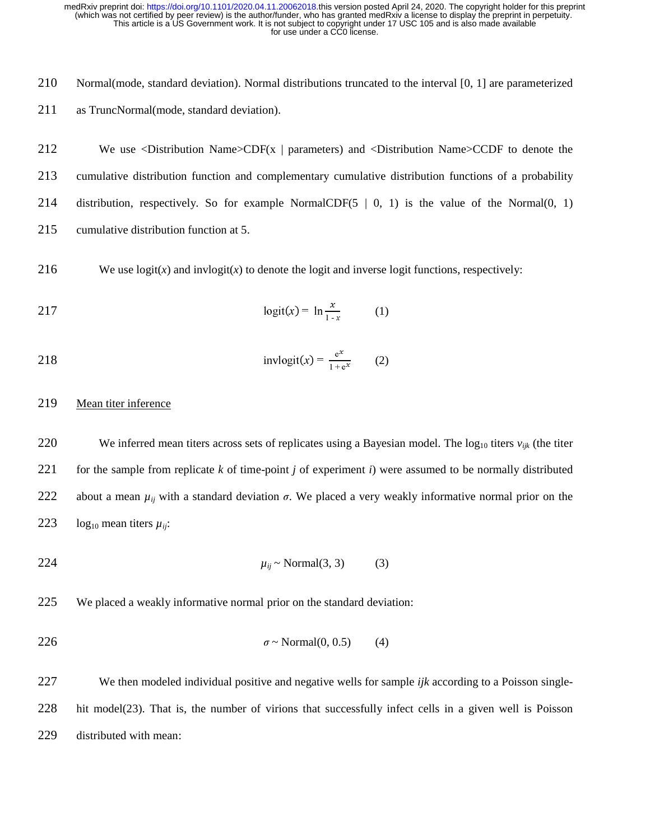210 Normal(mode, standard deviation). Normal distributions truncated to the interval [0, 1] are parameterized 211 as TruncNormal(mode, standard deviation).

212 We use <Distribution Name>CDF(x | parameters) and <Distribution Name>CCDF to denote the 213 cumulative distribution function and complementary cumulative distribution functions of a probability 214 distribution, respectively. So for example NormalCDF(5 | 0, 1) is the value of the Normal(0, 1) 215 cumulative distribution function at 5.

216 We use  $logit(x)$  and  $invlogit(x)$  to denote the logit and inverse logit functions, respectively:

$$
217 \qquad \qquad \logit(x) = \ln \frac{x}{1-x} \qquad (1)
$$

 invlogitx- = e 1 + e 218 (2)

# 219 Mean titer inference

220 We inferred mean titers across sets of replicates using a Bayesian model. The  $log_{10}$  titers  $v_{ijk}$  (the titer 221 for the sample from replicate *k* of time-point *j* of experiment *i*) were assumed to be normally distributed 222 about a mean  $\mu_{ii}$  with a standard deviation  $\sigma$ . We placed a very weakly informative normal prior on the 223 log<sub>10</sub> mean titers  $\mu_{ii}$ :

$$
\mu_{ij} \sim \text{Normal}(3, 3) \tag{3}
$$

225 We placed a weakly informative normal prior on the standard deviation:

$$
\sigma \sim \text{Normal}(0, 0.5) \tag{4}
$$

227 We then modeled individual positive and negative wells for sample *ijk* according to a Poisson single-228 hit model(23). That is, the number of virions that successfully infect cells in a given well is Poisson 229 distributed with mean: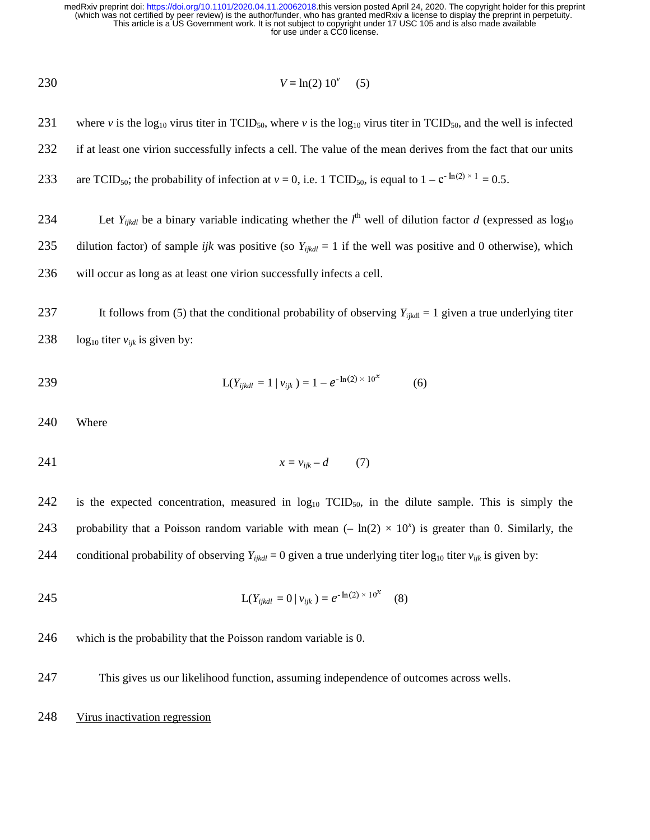$$
V = \ln(2) \; 10^{\circ} \quad (5)
$$

232 if at least one virion successfully infects a cell. The value of the mean derives from the fact that our units 233 are TCID<sub>50</sub>; the probability of infection at  $v = 0$ , i.e. 1 TCID<sub>50</sub>, is equal to  $1 - e^{-\ln(2) \times 1} = 0.5$ . 234 Let  $Y_{ijkl}$  be a binary variable indicating whether the  $l^{\text{th}}$  well of dilution factor *d* (expressed as log<sub>10</sub> 235 dilution factor) of sample *ijk* was positive (so  $Y_{ijkl} = 1$  if the well was positive and 0 otherwise), which 236 will occur as long as at least one virion successfully infects a cell.

231 where *v* is the log<sub>10</sub> virus titer in TCID<sub>50</sub>, where *v* is the log<sub>10</sub> virus titer in TCID<sub>50</sub>, and the well is infected

237 It follows from (5) that the conditional probability of observing  $Y_{ijkl} = 1$  given a true underlying titer 238 log<sub>10</sub> titer  $v_{ijk}$  is given by:

239 
$$
L(Y_{ijkl} = 1 | v_{ijk}) = 1 - e^{-\ln(2) \times 10^{x}}
$$
 (6)

240 Where

$$
x = v_{ijk} - d \tag{7}
$$

242 is the expected concentration, measured in  $log_{10} TCID_{50}$ , in the dilute sample. This is simply the 243 probability that a Poisson random variable with mean  $(-\ln(2) \times 10^x)$  is greater than 0. Similarly, the 244 conditional probability of observing  $Y_{ijkl} = 0$  given a true underlying titer  $log_{10}$  titer  $v_{ijk}$  is given by:

245 
$$
L(Y_{ijkl} = 0 | v_{ijk}) = e^{-\ln(2) \times 10^{2}} \quad (8)
$$

246 which is the probability that the Poisson random variable is 0.

- 247 This gives us our likelihood function, assuming independence of outcomes across wells.
- 248 Virus inactivation regression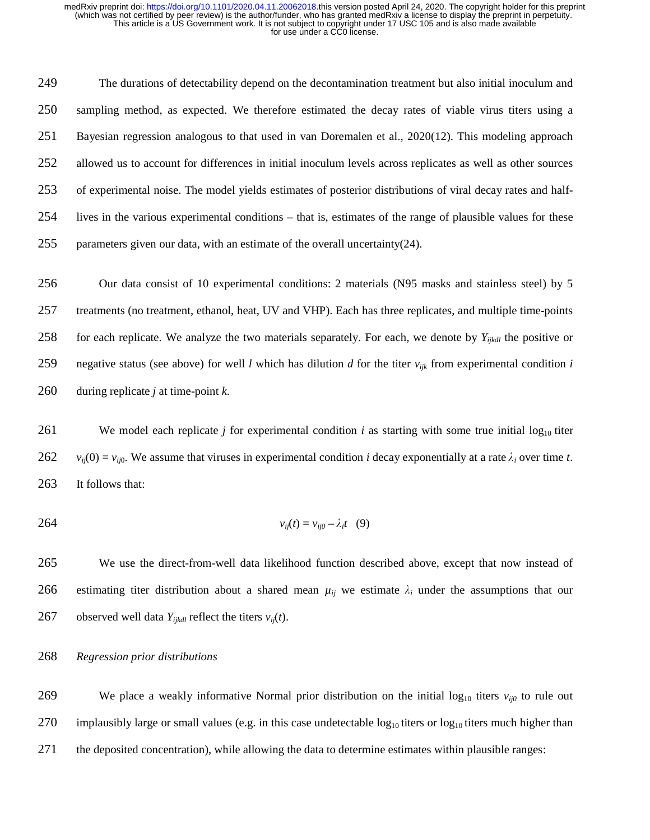249 The durations of detectability depend on the decontamination treatment but also initial inoculum and 250 sampling method, as expected. We therefore estimated the decay rates of viable virus titers using a 251 Bayesian regression analogous to that used in van Doremalen et al., 2020(12). This modeling approach 252 allowed us to account for differences in initial inoculum levels across replicates as well as other sources 253 of experimental noise. The model yields estimates of posterior distributions of viral decay rates and half-254 lives in the various experimental conditions – that is, estimates of the range of plausible values for these 255 parameters given our data, with an estimate of the overall uncertainty(24).

256 Our data consist of 10 experimental conditions: 2 materials (N95 masks and stainless steel) by 5 257 treatments (no treatment, ethanol, heat, UV and VHP). Each has three replicates, and multiple time-points for each replicate. We analyze the two materials separately. For each, we denote by *Yijkdl* 258 the positive or 259 negative status (see above) for well *l* which has dilution *d* for the titer *vijk* from experimental condition *i* 260 during replicate *j* at time-point *k*.

261 We model each replicate *j* for experimental condition *i* as starting with some true initial  $log_{10}$  titer 262  $v_{ij}(0) = v_{ij0}$ . We assume that viruses in experimental condition *i* decay exponentially at a rate  $\lambda_i$  over time *t*. 263 It follows that:

$$
v_{ij}(t) = v_{ij0} - \lambda_i t \quad (9)
$$

265 We use the direct-from-well data likelihood function described above, except that now instead of 266 estimating titer distribution about a shared mean  $\mu_{ij}$  we estimate  $\lambda_i$  under the assumptions that our 267 observed well data  $Y_{ijkl}$  reflect the titers  $v_{ij}(t)$ .

268 *Regression prior distributions* 

269 We place a weakly informative Normal prior distribution on the initial log<sub>10</sub> titers  $v_{ii0}$  to rule out  $270$  implausibly large or small values (e.g. in this case undetectable  $log_{10}$  titers or  $log_{10}$  titers much higher than 271 the deposited concentration), while allowing the data to determine estimates within plausible ranges: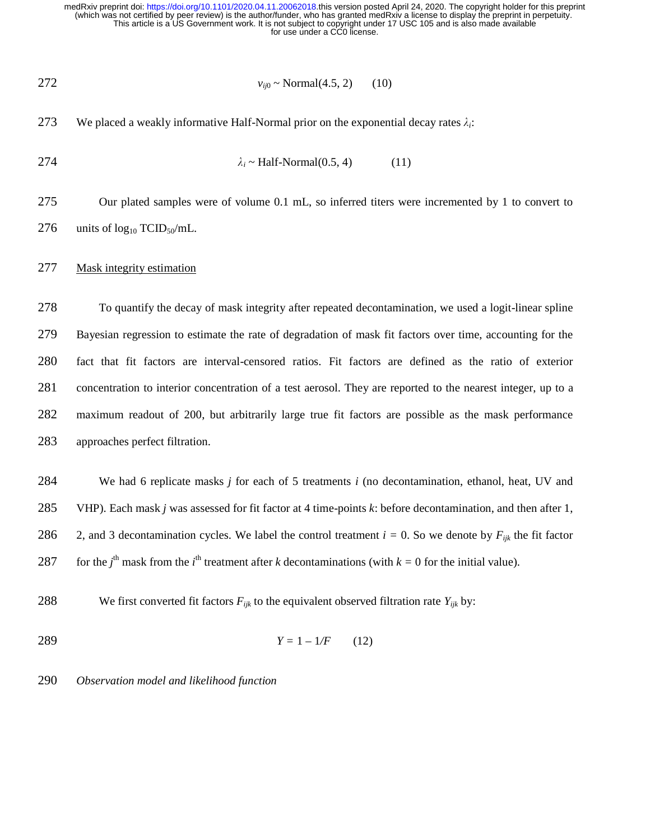272 
$$
v_{ij0} \sim \text{Normal}(4.5, 2)
$$
 (10)

273 We placed a weakly informative Half-Normal prior on the exponential decay rates  $\lambda_i$ :

$$
\lambda_i \sim \text{Half-Normal}(0.5, 4) \tag{11}
$$

275 Our plated samples were of volume 0.1 mL, so inferred titers were incremented by 1 to convert to 276 units of  $log_{10} TCID_{50}/mL$ .

# 277 Mask integrity estimation

278 To quantify the decay of mask integrity after repeated decontamination, we used a logit-linear spline 279 Bayesian regression to estimate the rate of degradation of mask fit factors over time, accounting for the 280 fact that fit factors are interval-censored ratios. Fit factors are defined as the ratio of exterior 281 concentration to interior concentration of a test aerosol. They are reported to the nearest integer, up to a 282 maximum readout of 200, but arbitrarily large true fit factors are possible as the mask performance 283 approaches perfect filtration.

284 We had 6 replicate masks *j* for each of 5 treatments *i* (no decontamination, ethanol, heat, UV and 285 VHP). Each mask *j* was assessed for fit factor at 4 time-points *k*: before decontamination, and then after 1, 286 2, and 3 decontamination cycles. We label the control treatment  $i = 0$ . So we denote by  $F_{ijk}$  the fit factor 287 for the *j*<sup>th</sup> mask from the *i*<sup>th</sup> treatment after *k* decontaminations (with  $k = 0$  for the initial value).

- 288 We first converted fit factors  $F_{ijk}$  to the equivalent observed filtration rate  $Y_{ijk}$  by:
- 289  $Y = 1 1/F$  (12)

290 *Observation model and likelihood function*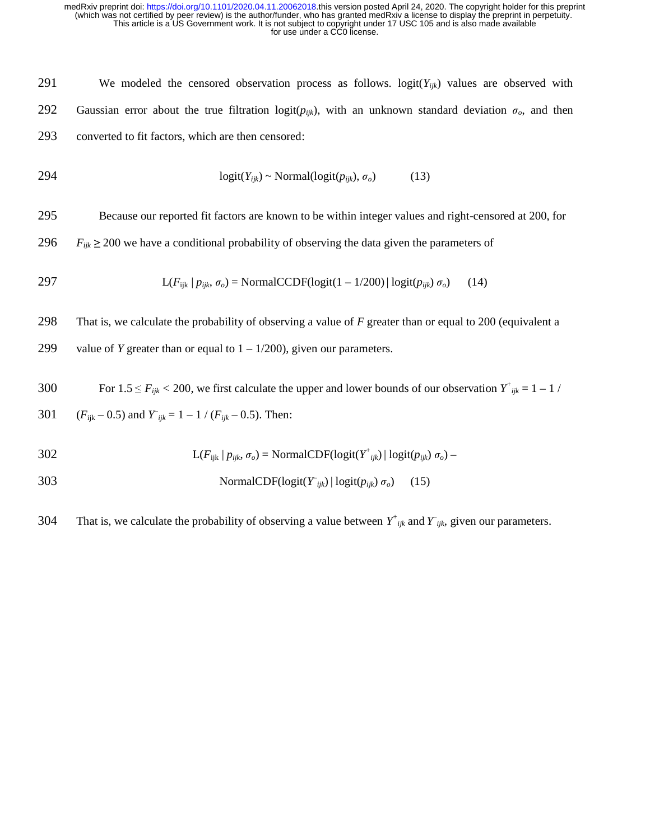291 We modeled the censored observation process as follows. logit(*Yijk*) values are observed with 292 Gaussian error about the true filtration logit( $p_{ijk}$ ), with an unknown standard deviation  $\sigma_o$ , and then 293 converted to fit factors, which are then censored:

$$
logit(Y_{ijk}) \sim Normal(logit(p_{ijk}), \sigma_o)
$$
 (13)

295 Because our reported fit factors are known to be within integer values and right-censored at 200, for

296  $F_{ijk} \geq 200$  we have a conditional probability of observing the data given the parameters of

$$
L(F_{ijk} | p_{ijk}, \sigma_o) = \text{NormalCCDF}(\text{logit}(1 - 1/200) | \text{logit}(p_{ijk}) \sigma_o) \tag{14}
$$

298 That is, we calculate the probability of observing a value of *F* greater than or equal to 200 (equivalent a

299 value of *Y* greater than or equal to  $1 - 1/200$ , given our parameters.

For  $1.5 \le F_{ijk} < 200$ , we first calculate the upper and lower bounds of our observation  $Y^+_{ijk} = 1 - 1$  /

301 
$$
(F_{ijk} - 0.5)
$$
 and  $Y_{ijk} = 1 - 1 / (F_{ijk} - 0.5)$ . Then:

302 
$$
L(F_{ijk} | p_{ijk}, \sigma_o) = NormalCDF(logit(Y^*_{ijk}) | logit(p_{ijk}) \sigma_o)
$$

303 NormalCDF(logit
$$
(Y_{ijk}) | logit(p_{ijk}) \sigma_o)
$$
 (15)

That is, we calculate the probability of observing a value between  $Y^+_{ijk}$  and  $Y_{ijk}$ , given our parameters.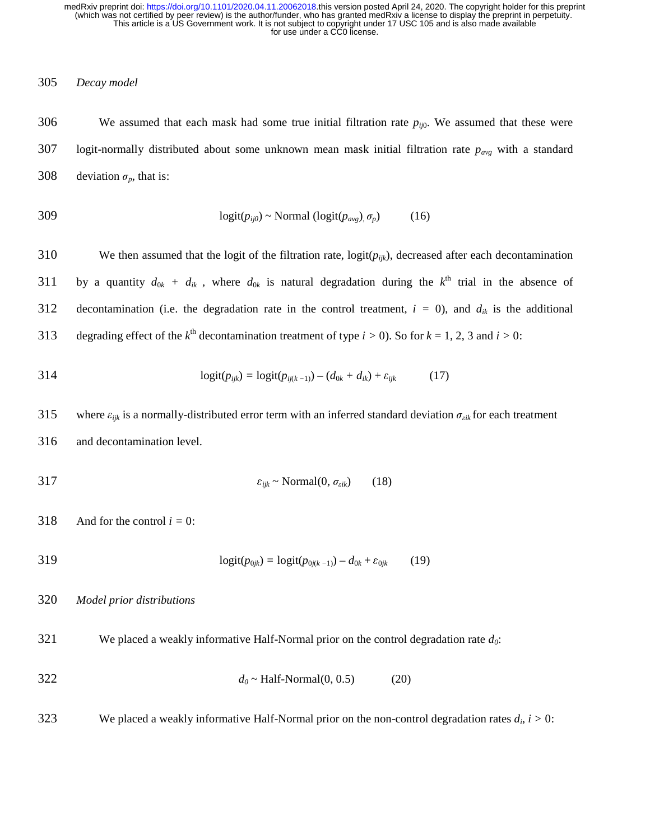# 305 *Decay model*

306 We assumed that each mask had some true initial filtration rate  $p_{ij0}$ . We assumed that these were 307 logit-normally distributed about some unknown mean mask initial filtration rate *pavg* with a standard 308 deviation  $\sigma_p$ , that is:

$$
logit(p_{ij0}) \sim Normal (logit(p_{avg}), \sigma_p) \tag{16}
$$

310 We then assumed that the logit of the filtration rate,  $logit(p_{ijk})$ , decreased after each decontamination 311 by a quantity  $d_{0k} + d_{ik}$ , where  $d_{0k}$  is natural degradation during the  $k^{\text{th}}$  trial in the absence of 312 decontamination (i.e. the degradation rate in the control treatment,  $i = 0$ ), and  $d_{ik}$  is the additional 313 degrading effect of the  $k^{\text{th}}$  decontamination treatment of type  $i > 0$ ). So for  $k = 1, 2, 3$  and  $i > 0$ :

314 
$$
logit(p_{ijk}) = logit(p_{ij(k-1)}) - (d_{0k} + d_{ik}) + \varepsilon_{ijk}
$$
 (17)

315 where  $\varepsilon_{ijk}$  is a normally-distributed error term with an inferred standard deviation  $\sigma_{ijk}$  for each treatment 316 and decontamination level.

$$
\varepsilon_{ijk} \sim \text{Normal}(0, \sigma_{eik}) \tag{18}
$$

318 And for the control  $i = 0$ :

319 logit(*p*0*jk*) *=* logit(*p*0*j*(*k −*1)) *– d*0*<sup>k</sup>* + ε<sup>0</sup>*jk* (19)

## 320 *Model prior distributions*

321 We placed a weakly informative Half-Normal prior on the control degradation rate *d0*:

$$
d_0 \sim \text{Half-Normal}(0, 0.5) \tag{20}
$$

We placed a weakly informative Half-Normal prior on the non-control degradation rates  $d_i$ ,  $i > 0$ :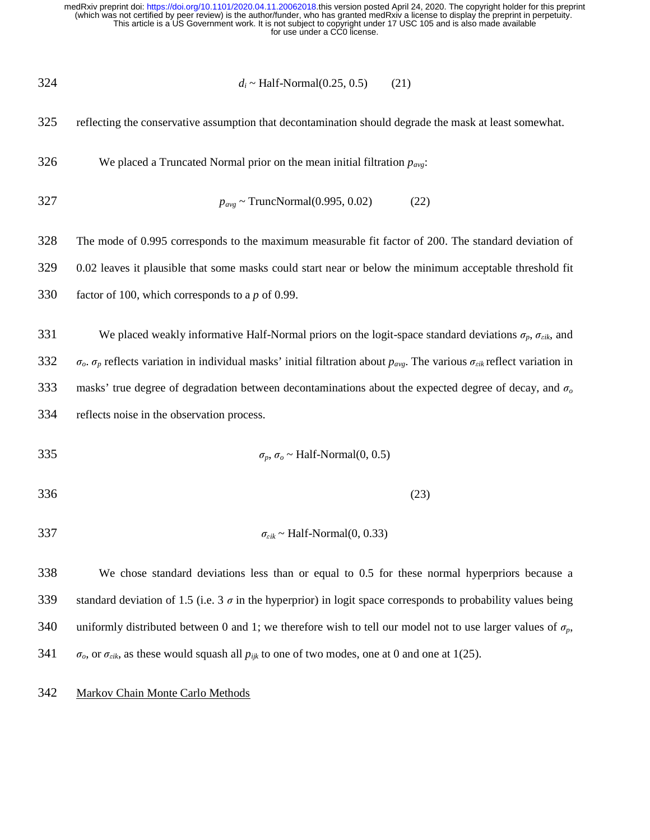324 
$$
d_i \sim \text{Half-Normal}(0.25, 0.5)
$$
 (21)

325 reflecting the conservative assumption that decontamination should degrade the mask at least somewhat.

326 We placed a Truncated Normal prior on the mean initial filtration  $p_{avg}$ :

$$
p_{avg} \sim \text{TruncNormal}(0.995, 0.02) \tag{22}
$$

328 The mode of 0.995 corresponds to the maximum measurable fit factor of 200. The standard deviation of 329 0.02 leaves it plausible that some masks could start near or below the minimum acceptable threshold fit 330 factor of 100, which corresponds to a *p* of 0.99.

331 We placed weakly informative Half-Normal priors on the logit-space standard deviations  $\sigma_p$ ,  $\sigma_{eik}$ , and 332  $\sigma_o$ .  $\sigma_p$  reflects variation in individual masks' initial filtration about  $p_{avg}$ . The various  $\sigma_{eik}$  reflect variation in 333 masks' true degree of degradation between decontaminations about the expected degree of decay, and σ*<sup>o</sup>* 334 reflects noise in the observation process.

$$
\sigma_p, \sigma_o \sim \text{Half-Normal}(0, 0.5)
$$

$$
336 \tag{23}
$$

$$
\sigma_{eik} \sim \text{Half-Normal}(0, 0.33)
$$

338 We chose standard deviations less than or equal to 0.5 for these normal hyperpriors because a 339 standard deviation of 1.5 (i.e. 3  $\sigma$  in the hyperprior) in logit space corresponds to probability values being 340 uniformly distributed between 0 and 1; we therefore wish to tell our model not to use larger values of  $\sigma_p$ , 341  $\sigma_o$ , or  $\sigma_{eik}$ , as these would squash all  $p_{ijk}$  to one of two modes, one at 0 and one at 1(25).

# 342 Markov Chain Monte Carlo Methods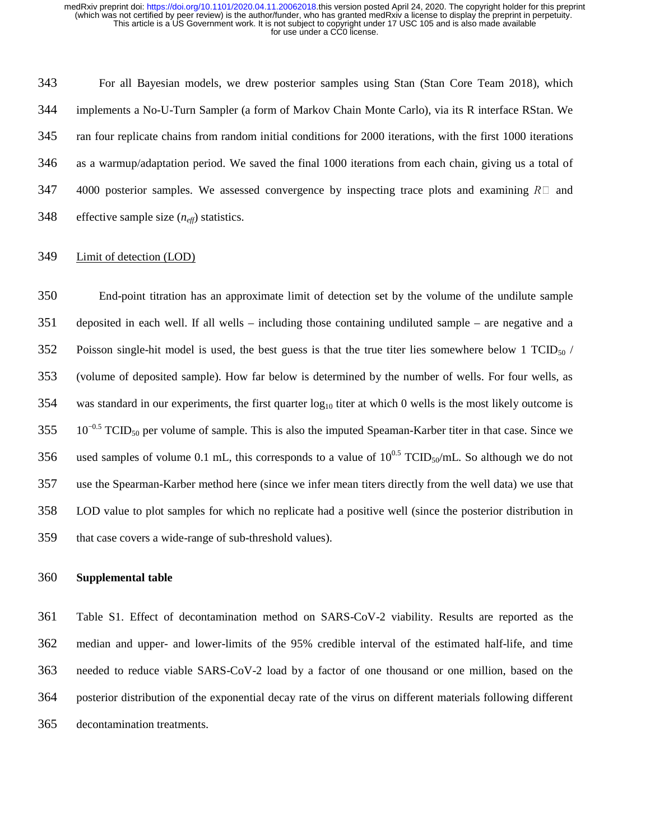343 For all Bayesian models, we drew posterior samples using Stan (Stan Core Team 2018), which 344 implements a No-U-Turn Sampler (a form of Markov Chain Monte Carlo), via its R interface RStan. We 345 ran four replicate chains from random initial conditions for 2000 iterations, with the first 1000 iterations 346 as a warmup/adaptation period. We saved the final 1000 iterations from each chain, giving us a total of 347 4000 posterior samples. We assessed convergence by inspecting trace plots and examining  $R\Box$  and 348 effective sample size (*neff*) statistics.

# 349 Limit of detection (LOD)

350 End-point titration has an approximate limit of detection set by the volume of the undilute sample 351 deposited in each well. If all wells – including those containing undiluted sample – are negative and a 352 Poisson single-hit model is used, the best guess is that the true titer lies somewhere below 1 TCID<sub>50</sub>  $/$ 353 (volume of deposited sample). How far below is determined by the number of wells. For four wells, as 354 was standard in our experiments, the first quarter  $log_{10}$  titer at which 0 wells is the most likely outcome is 10−0.5 355 TCID50 per volume of sample. This is also the imputed Speaman-Karber titer in that case. Since we 356 used samples of volume 0.1 mL, this corresponds to a value of  $10^{0.5}$  TCID<sub>50</sub>/mL. So although we do not 357 use the Spearman-Karber method here (since we infer mean titers directly from the well data) we use that 358 LOD value to plot samples for which no replicate had a positive well (since the posterior distribution in 359 that case covers a wide-range of sub-threshold values).

# 360 **Supplemental table**

361 Table S1. Effect of decontamination method on SARS-CoV-2 viability. Results are reported as the 362 median and upper- and lower-limits of the 95% credible interval of the estimated half-life, and time 363 needed to reduce viable SARS-CoV-2 load by a factor of one thousand or one million, based on the 364 posterior distribution of the exponential decay rate of the virus on different materials following different 365 decontamination treatments.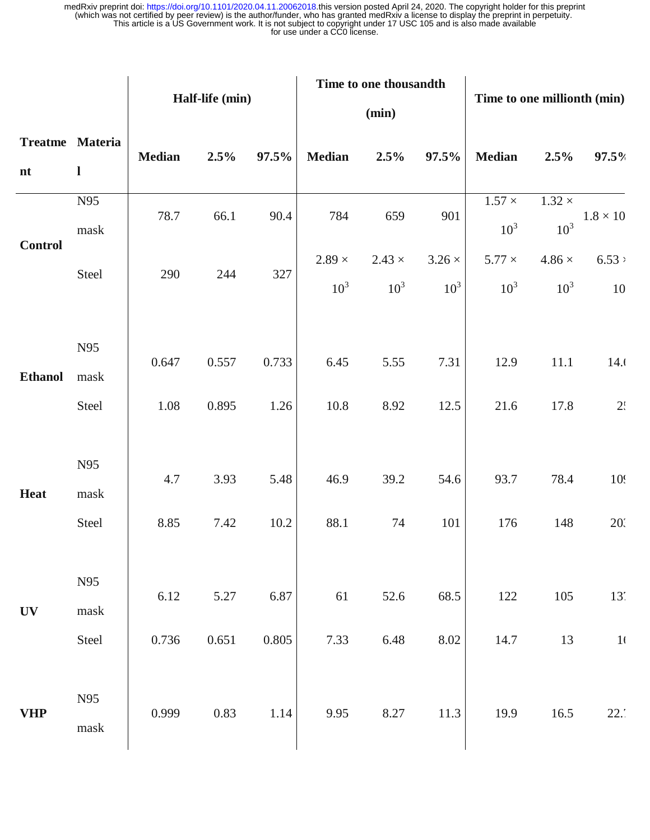|                |                     | Half-life (min) |         |       | Time to one thousandth<br>(min) |                 |               | Time to one millionth (min)      |                                    |                 |
|----------------|---------------------|-----------------|---------|-------|---------------------------------|-----------------|---------------|----------------------------------|------------------------------------|-----------------|
|                |                     |                 |         |       |                                 |                 |               |                                  |                                    |                 |
| n t            | $\mathbf{l}$        | <b>Median</b>   | $2.5\%$ | 97.5% | <b>Median</b>                   | $2.5\%$         | 97.5%         | <b>Median</b>                    | $2.5\%$                            | 97.5%           |
|                | N95<br>mask         | 78.7            | 66.1    | 90.4  | 784                             | 659             | 901           | $1.57 \times$<br>10 <sup>3</sup> | $1.32\, \times$<br>10 <sup>3</sup> | $1.8\times10$   |
| <b>Control</b> | Steel               | 290             | 244     | 327   | $2.89\times$                    | $2.43 \times$   | $3.26 \times$ | $5.77 \times$                    | $4.86 \times$                      | 6.53            |
|                |                     |                 |         |       | $10^3$                          | 10 <sup>3</sup> | $10^3$        | 10 <sup>3</sup>                  | 10 <sup>3</sup>                    | $10\,$          |
| <b>Ethanol</b> | N95<br>mask         | 0.647           | 0.557   | 0.733 | 6.45                            | 5.55            | 7.31          | 12.9                             | 11.1                               | 14.0            |
|                | Steel               | 1.08            | 0.895   | 1.26  | 10.8                            | 8.92            | 12.5          | 21.6                             | 17.8                               | 2.1             |
| <b>Heat</b>    | N95<br>mask         | 4.7             | 3.93    | 5.48  | 46.9                            | 39.2            | 54.6          | 93.7                             | 78.4                               | 10 <sup>t</sup> |
|                | Steel               | 8.85            | 7.42    | 10.2  | 88.1                            | 74              | 101           | 176                              | 148                                | 203             |
| <b>UV</b>      | N95<br>mask         | 6.12            | 5.27    | 6.87  | 61                              | 52.6            | 68.5          | 122                              | 105                                | $13'$           |
|                | Steel               | 0.736           | 0.651   | 0.805 | 7.33                            | 6.48            | $8.02\,$      | 14.7                             | 13                                 | 1 <sub>0</sub>  |
| <b>VHP</b>     | N95<br>${\rm mask}$ | 0.999           | 0.83    | 1.14  | 9.95                            | 8.27            | 11.3          | 19.9                             | 16.5                               | 22.'            |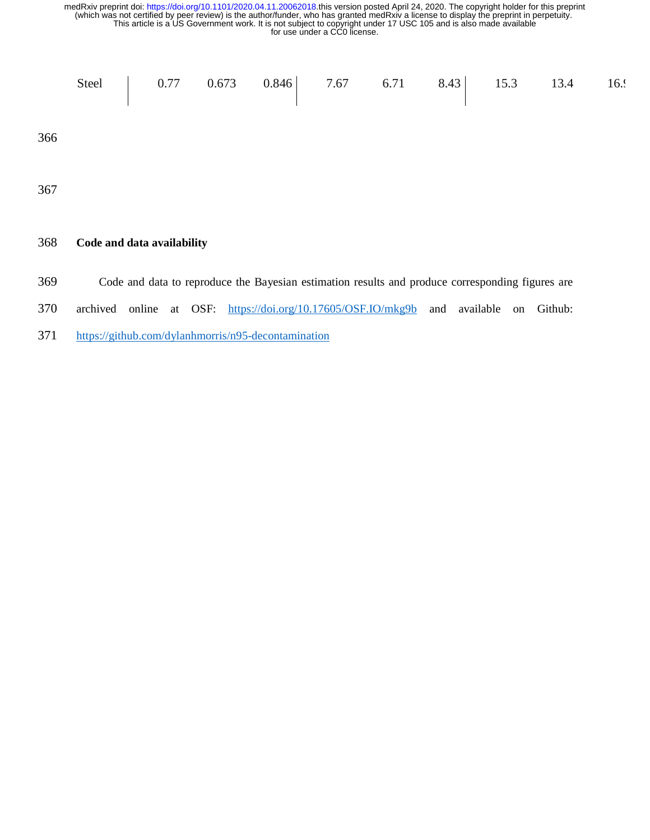- 369 Code and data to reproduce the Bayesian estimation results and produce corresponding figures are
- 370 archived online at OSF: https://doi.org/10.17605/OSF.IO/mkg9b and available on Github:
- 371 https://github.com/dylanhmorris/n95-decontamination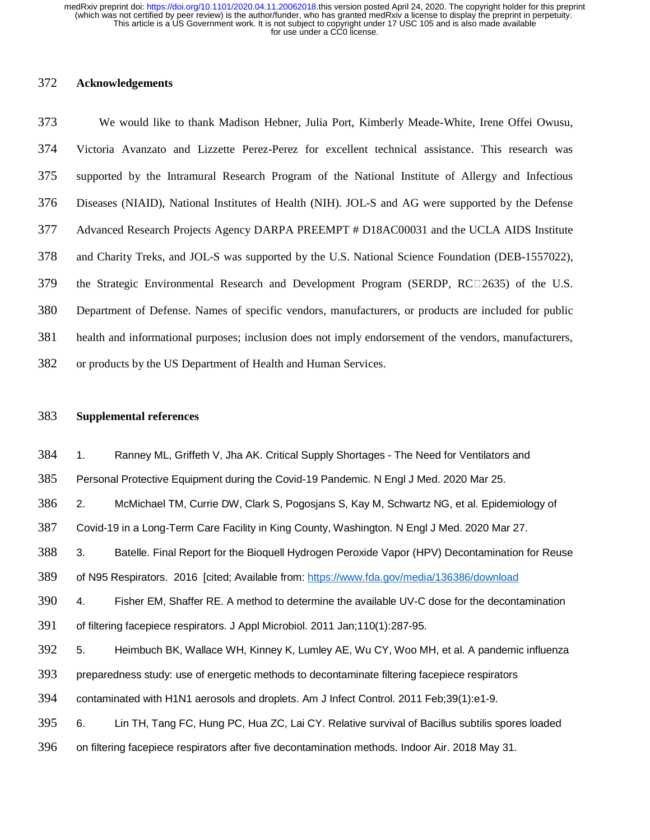## 372 **Acknowledgements**

373 We would like to thank Madison Hebner, Julia Port, Kimberly Meade-White, Irene Offei Owusu, 374 Victoria Avanzato and Lizzette Perez-Perez for excellent technical assistance. This research was 375 supported by the Intramural Research Program of the National Institute of Allergy and Infectious 376 Diseases (NIAID), National Institutes of Health (NIH). JOL-S and AG were supported by the Defense 377 Advanced Research Projects Agency DARPA PREEMPT # D18AC00031 and the UCLA AIDS Institute 378 and Charity Treks, and JOL-S was supported by the U.S. National Science Foundation (DEB-1557022), 379 the Strategic Environmental Research and Development Program (SERDP, RC $\square$ 2635) of the U.S. 380 Department of Defense. Names of specific vendors, manufacturers, or products are included for public 381 health and informational purposes; inclusion does not imply endorsement of the vendors, manufacturers, 382 or products by the US Department of Health and Human Services.

## 383 **Supplemental references**

384 1. Ranney ML, Griffeth V, Jha AK. Critical Supply Shortages - The Need for Ventilators and

385 Personal Protective Equipment during the Covid-19 Pandemic. N Engl J Med. 2020 Mar 25.

386 2. McMichael TM, Currie DW, Clark S, Pogosjans S, Kay M, Schwartz NG, et al. Epidemiology of

387 Covid-19 in a Long-Term Care Facility in King County, Washington. N Engl J Med. 2020 Mar 27.

388 3. Batelle. Final Report for the Bioquell Hydrogen Peroxide Vapor (HPV) Decontamination for Reuse

389 of N95 Respirators. 2016 [cited; Available from: https://www.fda.gov/media/136386/download

390 4. Fisher EM, Shaffer RE. A method to determine the available UV-C dose for the decontamination

391 of filtering facepiece respirators. J Appl Microbiol. 2011 Jan;110(1):287-95.

392 5. Heimbuch BK, Wallace WH, Kinney K, Lumley AE, Wu CY, Woo MH, et al. A pandemic influenza

393 preparedness study: use of energetic methods to decontaminate filtering facepiece respirators

394 contaminated with H1N1 aerosols and droplets. Am J Infect Control. 2011 Feb;39(1):e1-9.

395 6. Lin TH, Tang FC, Hung PC, Hua ZC, Lai CY. Relative survival of Bacillus subtilis spores loaded

396 on filtering facepiece respirators after five decontamination methods. Indoor Air. 2018 May 31.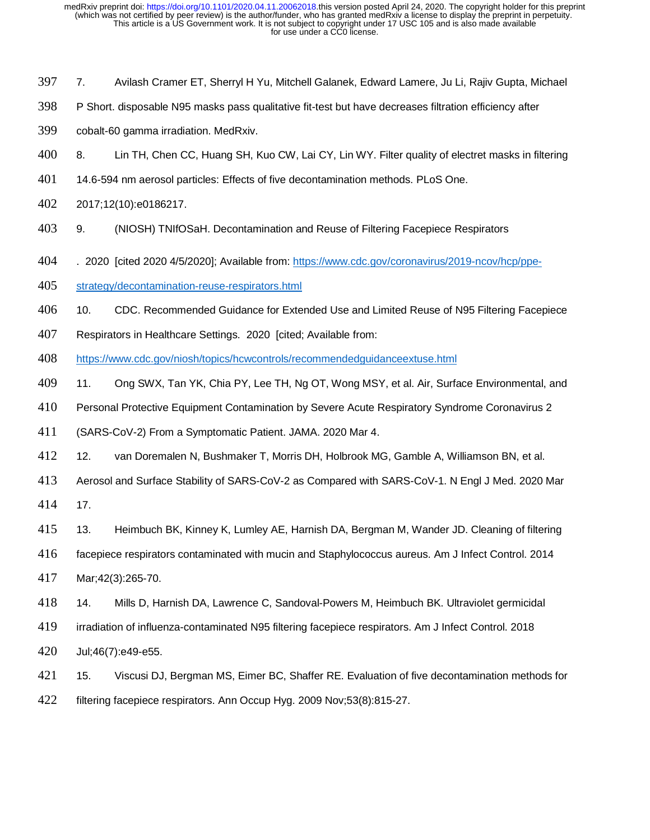- 7. Avilash Cramer ET, Sherryl H Yu, Mitchell Galanek, Edward Lamere, Ju Li, Rajiv Gupta, Michael
- P Short. disposable N95 masks pass qualitative fit-test but have decreases filtration efficiency after
- cobalt-60 gamma irradiation. MedRxiv.
- 8. Lin TH, Chen CC, Huang SH, Kuo CW, Lai CY, Lin WY. Filter quality of electret masks in filtering
- 14.6-594 nm aerosol particles: Effects of five decontamination methods. PLoS One.
- 2017;12(10):e0186217.
- 9. (NIOSH) TNIfOSaH. Decontamination and Reuse of Filtering Facepiece Respirators
- . 2020 [cited 2020 4/5/2020]; Available from: https://www.cdc.gov/coronavirus/2019-ncov/hcp/ppe-
- strategy/decontamination-reuse-respirators.html
- 406 10. CDC. Recommended Guidance for Extended Use and Limited Reuse of N95 Filtering Facepiece
- Respirators in Healthcare Settings. 2020 [cited; Available from:
- https://www.cdc.gov/niosh/topics/hcwcontrols/recommendedguidanceextuse.html
- 11. Ong SWX, Tan YK, Chia PY, Lee TH, Ng OT, Wong MSY, et al. Air, Surface Environmental, and
- Personal Protective Equipment Contamination by Severe Acute Respiratory Syndrome Coronavirus 2
- (SARS-CoV-2) From a Symptomatic Patient. JAMA. 2020 Mar 4.
- 12. van Doremalen N, Bushmaker T, Morris DH, Holbrook MG, Gamble A, Williamson BN, et al.
- Aerosol and Surface Stability of SARS-CoV-2 as Compared with SARS-CoV-1. N Engl J Med. 2020 Mar
- 17.
- 13. Heimbuch BK, Kinney K, Lumley AE, Harnish DA, Bergman M, Wander JD. Cleaning of filtering
- facepiece respirators contaminated with mucin and Staphylococcus aureus. Am J Infect Control. 2014
- Mar;42(3):265-70.
- 14. Mills D, Harnish DA, Lawrence C, Sandoval-Powers M, Heimbuch BK. Ultraviolet germicidal
- irradiation of influenza-contaminated N95 filtering facepiece respirators. Am J Infect Control. 2018
- Jul;46(7):e49-e55.
- 15. Viscusi DJ, Bergman MS, Eimer BC, Shaffer RE. Evaluation of five decontamination methods for
- filtering facepiece respirators. Ann Occup Hyg. 2009 Nov;53(8):815-27.